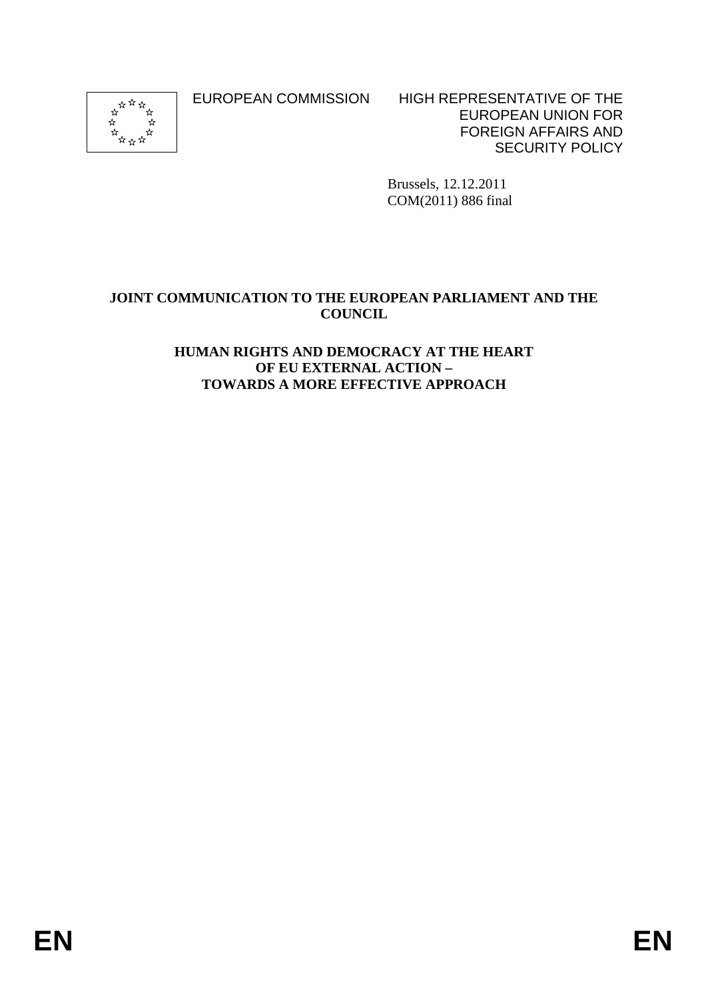

EUROPEAN COMMISSION HIGH REPRESENTATIVE OF THE EUROPEAN UNION FOR FOREIGN AFFAIRS AND SECURITY POLICY

> Brussels, 12.12.2011 COM(2011) 886 final

#### **JOINT COMMUNICATION TO THE EUROPEAN PARLIAMENT AND THE COUNCIL**

#### **HUMAN RIGHTS AND DEMOCRACY AT THE HEART OF EU EXTERNAL ACTION – TOWARDS A MORE EFFECTIVE APPROACH**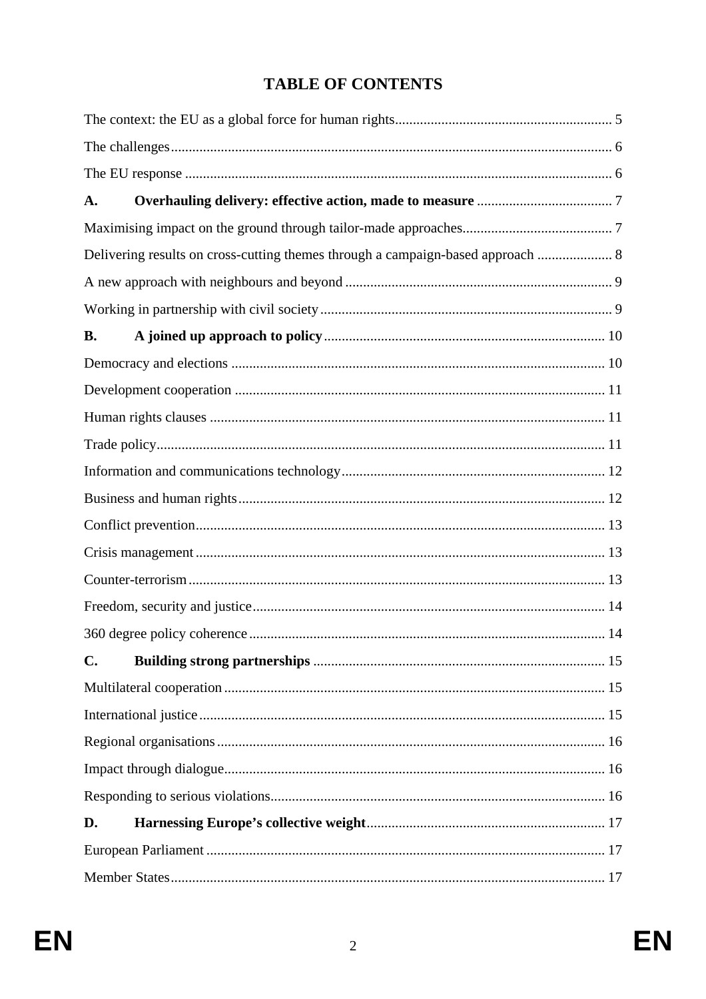# **TABLE OF CONTENTS**

| A.             |                                                                                 |  |  |  |
|----------------|---------------------------------------------------------------------------------|--|--|--|
|                |                                                                                 |  |  |  |
|                | Delivering results on cross-cutting themes through a campaign-based approach  8 |  |  |  |
|                |                                                                                 |  |  |  |
|                |                                                                                 |  |  |  |
| <b>B.</b>      |                                                                                 |  |  |  |
|                |                                                                                 |  |  |  |
|                |                                                                                 |  |  |  |
|                |                                                                                 |  |  |  |
|                |                                                                                 |  |  |  |
|                |                                                                                 |  |  |  |
|                |                                                                                 |  |  |  |
|                |                                                                                 |  |  |  |
|                |                                                                                 |  |  |  |
|                |                                                                                 |  |  |  |
|                |                                                                                 |  |  |  |
|                |                                                                                 |  |  |  |
| $\mathbf{C}$ . |                                                                                 |  |  |  |
|                |                                                                                 |  |  |  |
|                |                                                                                 |  |  |  |
|                |                                                                                 |  |  |  |
|                |                                                                                 |  |  |  |
|                |                                                                                 |  |  |  |
| D.             |                                                                                 |  |  |  |
|                |                                                                                 |  |  |  |
|                |                                                                                 |  |  |  |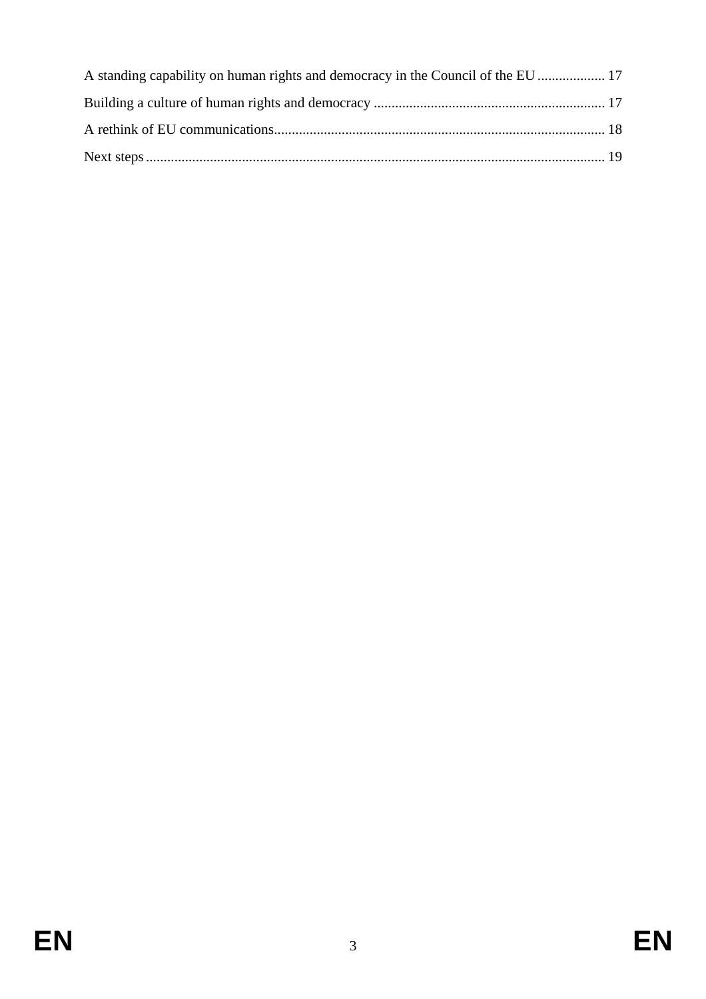| A standing capability on human rights and democracy in the Council of the EU  17 |  |
|----------------------------------------------------------------------------------|--|
|                                                                                  |  |
|                                                                                  |  |
|                                                                                  |  |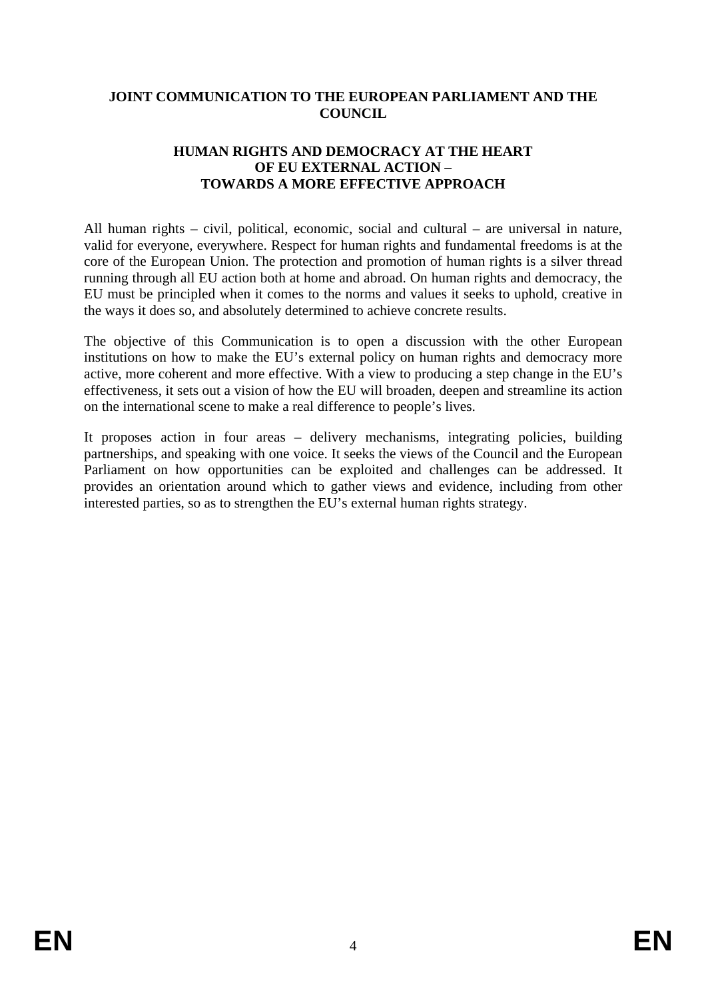#### **JOINT COMMUNICATION TO THE EUROPEAN PARLIAMENT AND THE COUNCIL**

#### **HUMAN RIGHTS AND DEMOCRACY AT THE HEART OF EU EXTERNAL ACTION – TOWARDS A MORE EFFECTIVE APPROACH**

All human rights – civil, political, economic, social and cultural – are universal in nature, valid for everyone, everywhere. Respect for human rights and fundamental freedoms is at the core of the European Union. The protection and promotion of human rights is a silver thread running through all EU action both at home and abroad. On human rights and democracy, the EU must be principled when it comes to the norms and values it seeks to uphold, creative in the ways it does so, and absolutely determined to achieve concrete results.

The objective of this Communication is to open a discussion with the other European institutions on how to make the EU's external policy on human rights and democracy more active, more coherent and more effective. With a view to producing a step change in the EU's effectiveness, it sets out a vision of how the EU will broaden, deepen and streamline its action on the international scene to make a real difference to people's lives.

It proposes action in four areas – delivery mechanisms, integrating policies, building partnerships, and speaking with one voice. It seeks the views of the Council and the European Parliament on how opportunities can be exploited and challenges can be addressed. It provides an orientation around which to gather views and evidence, including from other interested parties, so as to strengthen the EU's external human rights strategy.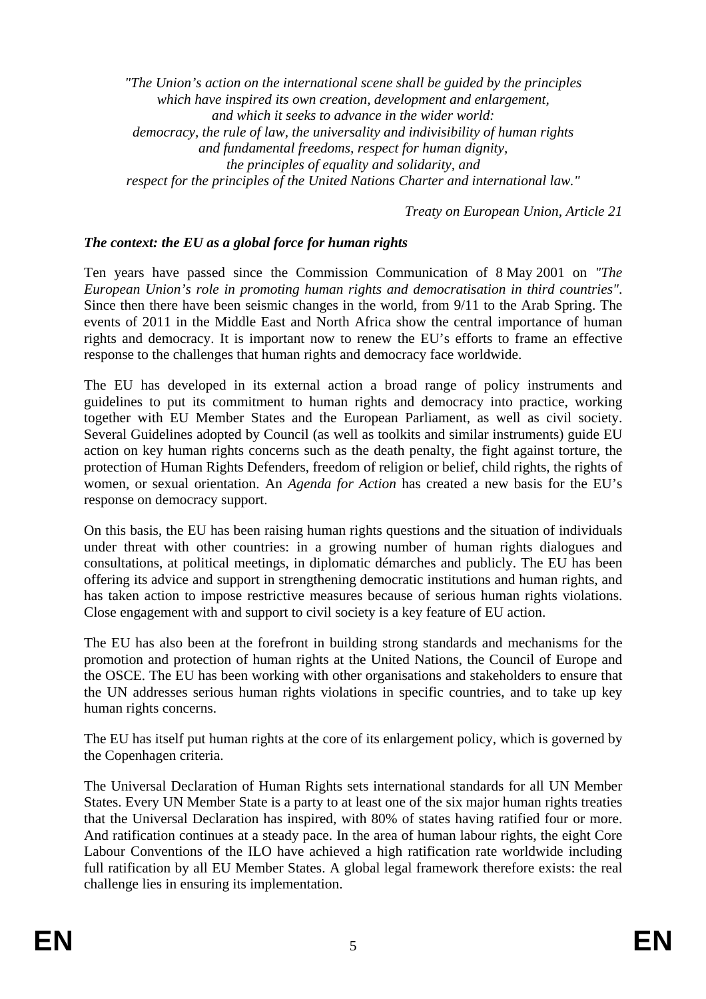*"The Union's action on the international scene shall be guided by the principles which have inspired its own creation, development and enlargement, and which it seeks to advance in the wider world: democracy, the rule of law, the universality and indivisibility of human rights and fundamental freedoms, respect for human dignity, the principles of equality and solidarity, and respect for the principles of the United Nations Charter and international law."* 

*Treaty on European Union, Article 21* 

#### *The context: the EU as a global force for human rights*

Ten years have passed since the Commission Communication of 8 May 2001 on *"The European Union's role in promoting human rights and democratisation in third countries"*. Since then there have been seismic changes in the world, from 9/11 to the Arab Spring. The events of 2011 in the Middle East and North Africa show the central importance of human rights and democracy. It is important now to renew the EU's efforts to frame an effective response to the challenges that human rights and democracy face worldwide.

The EU has developed in its external action a broad range of policy instruments and guidelines to put its commitment to human rights and democracy into practice, working together with EU Member States and the European Parliament, as well as civil society. Several Guidelines adopted by Council (as well as toolkits and similar instruments) guide EU action on key human rights concerns such as the death penalty, the fight against torture, the protection of Human Rights Defenders, freedom of religion or belief, child rights, the rights of women, or sexual orientation. An *Agenda for Action* has created a new basis for the EU's response on democracy support.

On this basis, the EU has been raising human rights questions and the situation of individuals under threat with other countries: in a growing number of human rights dialogues and consultations, at political meetings, in diplomatic démarches and publicly. The EU has been offering its advice and support in strengthening democratic institutions and human rights, and has taken action to impose restrictive measures because of serious human rights violations. Close engagement with and support to civil society is a key feature of EU action.

The EU has also been at the forefront in building strong standards and mechanisms for the promotion and protection of human rights at the United Nations, the Council of Europe and the OSCE. The EU has been working with other organisations and stakeholders to ensure that the UN addresses serious human rights violations in specific countries, and to take up key human rights concerns.

The EU has itself put human rights at the core of its enlargement policy, which is governed by the Copenhagen criteria.

The Universal Declaration of Human Rights sets international standards for all UN Member States. Every UN Member State is a party to at least one of the six major human rights treaties that the Universal Declaration has inspired, with 80% of states having ratified four or more. And ratification continues at a steady pace. In the area of human labour rights, the eight Core Labour Conventions of the ILO have achieved a high ratification rate worldwide including full ratification by all EU Member States. A global legal framework therefore exists: the real challenge lies in ensuring its implementation.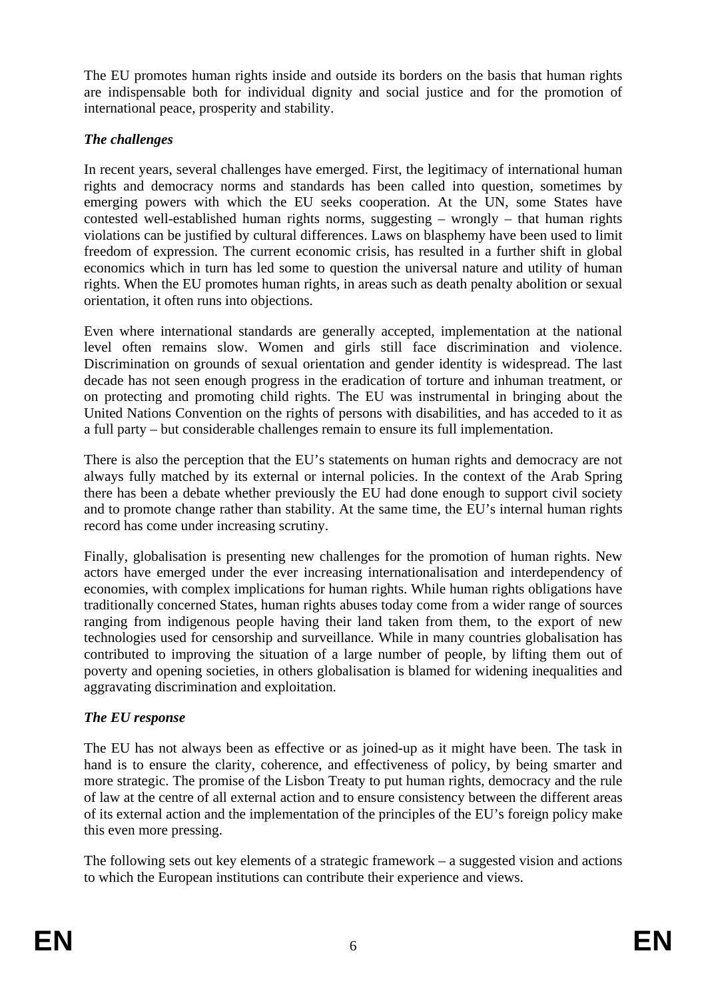The EU promotes human rights inside and outside its borders on the basis that human rights are indispensable both for individual dignity and social justice and for the promotion of international peace, prosperity and stability.

# *The challenges*

In recent years, several challenges have emerged. First, the legitimacy of international human rights and democracy norms and standards has been called into question, sometimes by emerging powers with which the EU seeks cooperation. At the UN, some States have contested well-established human rights norms, suggesting – wrongly – that human rights violations can be justified by cultural differences. Laws on blasphemy have been used to limit freedom of expression. The current economic crisis, has resulted in a further shift in global economics which in turn has led some to question the universal nature and utility of human rights. When the EU promotes human rights, in areas such as death penalty abolition or sexual orientation, it often runs into objections.

Even where international standards are generally accepted, implementation at the national level often remains slow. Women and girls still face discrimination and violence. Discrimination on grounds of sexual orientation and gender identity is widespread. The last decade has not seen enough progress in the eradication of torture and inhuman treatment, or on protecting and promoting child rights. The EU was instrumental in bringing about the United Nations Convention on the rights of persons with disabilities, and has acceded to it as a full party – but considerable challenges remain to ensure its full implementation.

There is also the perception that the EU's statements on human rights and democracy are not always fully matched by its external or internal policies. In the context of the Arab Spring there has been a debate whether previously the EU had done enough to support civil society and to promote change rather than stability. At the same time, the EU's internal human rights record has come under increasing scrutiny.

Finally, globalisation is presenting new challenges for the promotion of human rights. New actors have emerged under the ever increasing internationalisation and interdependency of economies, with complex implications for human rights. While human rights obligations have traditionally concerned States, human rights abuses today come from a wider range of sources ranging from indigenous people having their land taken from them, to the export of new technologies used for censorship and surveillance. While in many countries globalisation has contributed to improving the situation of a large number of people, by lifting them out of poverty and opening societies, in others globalisation is blamed for widening inequalities and aggravating discrimination and exploitation.

#### *The EU response*

The EU has not always been as effective or as joined-up as it might have been. The task in hand is to ensure the clarity, coherence, and effectiveness of policy, by being smarter and more strategic. The promise of the Lisbon Treaty to put human rights, democracy and the rule of law at the centre of all external action and to ensure consistency between the different areas of its external action and the implementation of the principles of the EU's foreign policy make this even more pressing.

The following sets out key elements of a strategic framework – a suggested vision and actions to which the European institutions can contribute their experience and views.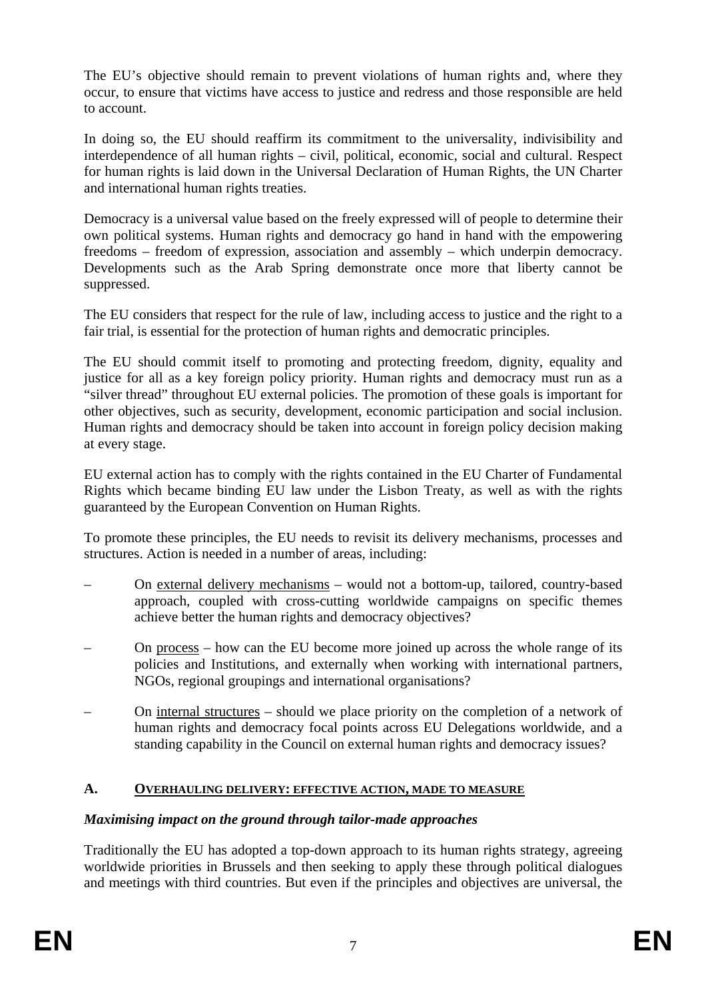The EU's objective should remain to prevent violations of human rights and, where they occur, to ensure that victims have access to justice and redress and those responsible are held to account.

In doing so, the EU should reaffirm its commitment to the universality, indivisibility and interdependence of all human rights – civil, political, economic, social and cultural. Respect for human rights is laid down in the Universal Declaration of Human Rights, the UN Charter and international human rights treaties.

Democracy is a universal value based on the freely expressed will of people to determine their own political systems. Human rights and democracy go hand in hand with the empowering freedoms – freedom of expression, association and assembly – which underpin democracy. Developments such as the Arab Spring demonstrate once more that liberty cannot be suppressed.

The EU considers that respect for the rule of law, including access to justice and the right to a fair trial, is essential for the protection of human rights and democratic principles.

The EU should commit itself to promoting and protecting freedom, dignity, equality and justice for all as a key foreign policy priority. Human rights and democracy must run as a "silver thread" throughout EU external policies. The promotion of these goals is important for other objectives, such as security, development, economic participation and social inclusion. Human rights and democracy should be taken into account in foreign policy decision making at every stage.

EU external action has to comply with the rights contained in the EU Charter of Fundamental Rights which became binding EU law under the Lisbon Treaty, as well as with the rights guaranteed by the European Convention on Human Rights.

To promote these principles, the EU needs to revisit its delivery mechanisms, processes and structures. Action is needed in a number of areas, including:

- On external delivery mechanisms would not a bottom-up, tailored, country-based approach, coupled with cross-cutting worldwide campaigns on specific themes achieve better the human rights and democracy objectives?
- On process how can the EU become more joined up across the whole range of its policies and Institutions, and externally when working with international partners, NGOs, regional groupings and international organisations?
- On internal structures should we place priority on the completion of a network of human rights and democracy focal points across EU Delegations worldwide, and a standing capability in the Council on external human rights and democracy issues?

#### **A. OVERHAULING DELIVERY: EFFECTIVE ACTION, MADE TO MEASURE**

#### *Maximising impact on the ground through tailor-made approaches*

Traditionally the EU has adopted a top-down approach to its human rights strategy, agreeing worldwide priorities in Brussels and then seeking to apply these through political dialogues and meetings with third countries. But even if the principles and objectives are universal, the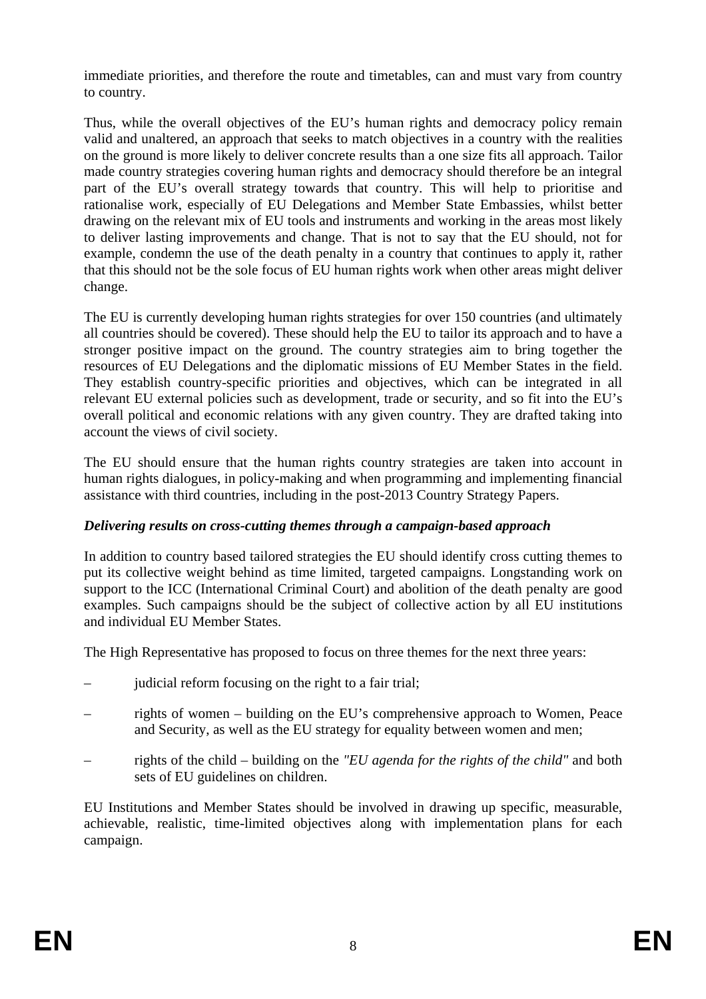immediate priorities, and therefore the route and timetables, can and must vary from country to country.

Thus, while the overall objectives of the EU's human rights and democracy policy remain valid and unaltered, an approach that seeks to match objectives in a country with the realities on the ground is more likely to deliver concrete results than a one size fits all approach. Tailor made country strategies covering human rights and democracy should therefore be an integral part of the EU's overall strategy towards that country. This will help to prioritise and rationalise work, especially of EU Delegations and Member State Embassies, whilst better drawing on the relevant mix of EU tools and instruments and working in the areas most likely to deliver lasting improvements and change. That is not to say that the EU should, not for example, condemn the use of the death penalty in a country that continues to apply it, rather that this should not be the sole focus of EU human rights work when other areas might deliver change.

The EU is currently developing human rights strategies for over 150 countries (and ultimately all countries should be covered). These should help the EU to tailor its approach and to have a stronger positive impact on the ground. The country strategies aim to bring together the resources of EU Delegations and the diplomatic missions of EU Member States in the field. They establish country-specific priorities and objectives, which can be integrated in all relevant EU external policies such as development, trade or security, and so fit into the EU's overall political and economic relations with any given country. They are drafted taking into account the views of civil society.

The EU should ensure that the human rights country strategies are taken into account in human rights dialogues, in policy-making and when programming and implementing financial assistance with third countries, including in the post-2013 Country Strategy Papers.

#### *Delivering results on cross-cutting themes through a campaign-based approach*

In addition to country based tailored strategies the EU should identify cross cutting themes to put its collective weight behind as time limited, targeted campaigns. Longstanding work on support to the ICC (International Criminal Court) and abolition of the death penalty are good examples. Such campaigns should be the subject of collective action by all EU institutions and individual EU Member States.

The High Representative has proposed to focus on three themes for the next three years:

- judicial reform focusing on the right to a fair trial;
- rights of women building on the EU's comprehensive approach to Women, Peace and Security, as well as the EU strategy for equality between women and men;
- rights of the child building on the *"EU agenda for the rights of the child"* and both sets of EU guidelines on children.

EU Institutions and Member States should be involved in drawing up specific, measurable, achievable, realistic, time-limited objectives along with implementation plans for each campaign.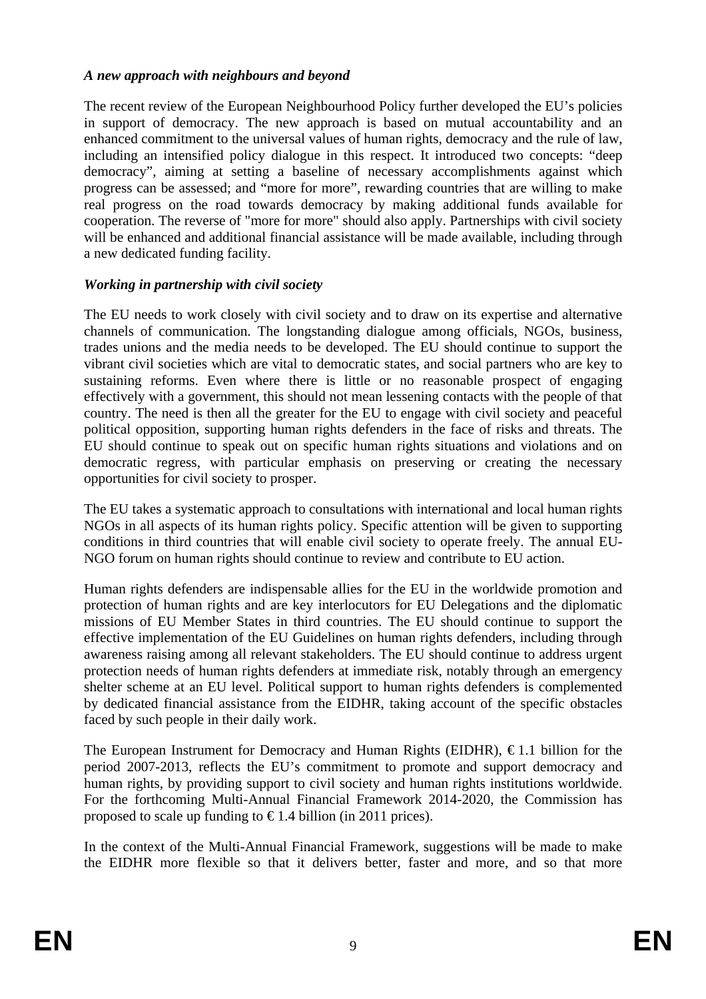#### *A new approach with neighbours and beyond*

The recent review of the European Neighbourhood Policy further developed the EU's policies in support of democracy. The new approach is based on mutual accountability and an enhanced commitment to the universal values of human rights, democracy and the rule of law, including an intensified policy dialogue in this respect. It introduced two concepts: "deep democracy", aiming at setting a baseline of necessary accomplishments against which progress can be assessed; and "more for more", rewarding countries that are willing to make real progress on the road towards democracy by making additional funds available for cooperation. The reverse of "more for more" should also apply. Partnerships with civil society will be enhanced and additional financial assistance will be made available, including through a new dedicated funding facility.

#### *Working in partnership with civil society*

The EU needs to work closely with civil society and to draw on its expertise and alternative channels of communication. The longstanding dialogue among officials, NGOs, business, trades unions and the media needs to be developed. The EU should continue to support the vibrant civil societies which are vital to democratic states, and social partners who are key to sustaining reforms. Even where there is little or no reasonable prospect of engaging effectively with a government, this should not mean lessening contacts with the people of that country. The need is then all the greater for the EU to engage with civil society and peaceful political opposition, supporting human rights defenders in the face of risks and threats. The EU should continue to speak out on specific human rights situations and violations and on democratic regress, with particular emphasis on preserving or creating the necessary opportunities for civil society to prosper.

The EU takes a systematic approach to consultations with international and local human rights NGOs in all aspects of its human rights policy. Specific attention will be given to supporting conditions in third countries that will enable civil society to operate freely. The annual EU-NGO forum on human rights should continue to review and contribute to EU action.

Human rights defenders are indispensable allies for the EU in the worldwide promotion and protection of human rights and are key interlocutors for EU Delegations and the diplomatic missions of EU Member States in third countries. The EU should continue to support the effective implementation of the EU Guidelines on human rights defenders, including through awareness raising among all relevant stakeholders. The EU should continue to address urgent protection needs of human rights defenders at immediate risk, notably through an emergency shelter scheme at an EU level. Political support to human rights defenders is complemented by dedicated financial assistance from the EIDHR, taking account of the specific obstacles faced by such people in their daily work.

The European Instrument for Democracy and Human Rights (EIDHR),  $\epsilon$ 1.1 billion for the period 2007-2013, reflects the EU's commitment to promote and support democracy and human rights, by providing support to civil society and human rights institutions worldwide. For the forthcoming Multi-Annual Financial Framework 2014-2020, the Commission has proposed to scale up funding to  $\in$  1.4 billion (in 2011 prices).

In the context of the Multi-Annual Financial Framework, suggestions will be made to make the EIDHR more flexible so that it delivers better, faster and more, and so that more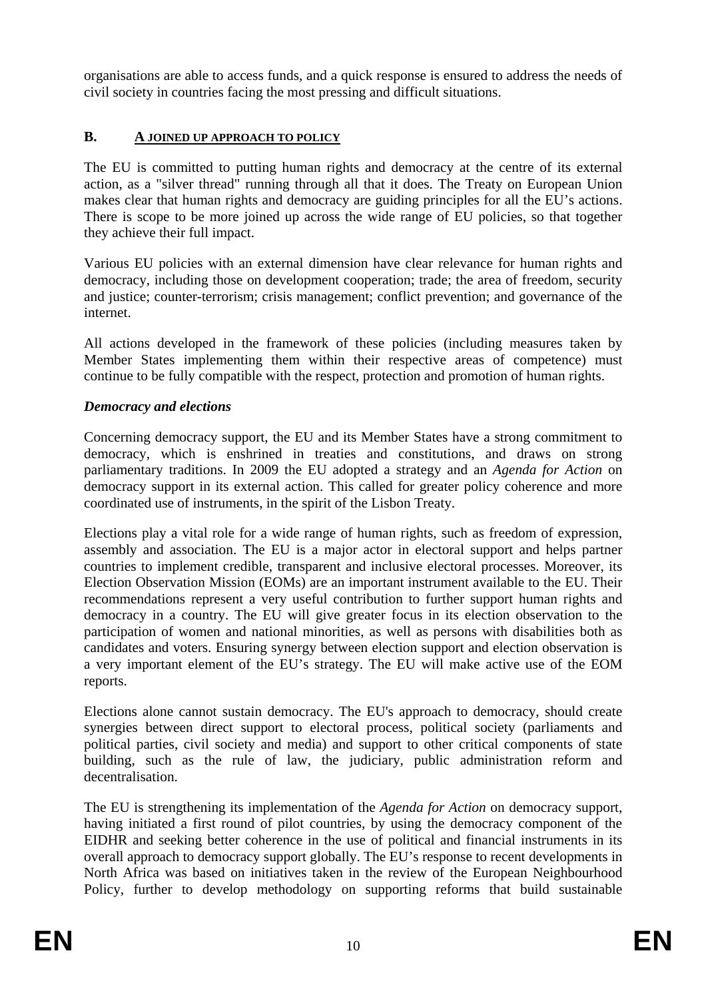organisations are able to access funds, and a quick response is ensured to address the needs of civil society in countries facing the most pressing and difficult situations.

### **B. A JOINED UP APPROACH TO POLICY**

The EU is committed to putting human rights and democracy at the centre of its external action, as a "silver thread" running through all that it does. The Treaty on European Union makes clear that human rights and democracy are guiding principles for all the EU's actions. There is scope to be more joined up across the wide range of EU policies, so that together they achieve their full impact.

Various EU policies with an external dimension have clear relevance for human rights and democracy, including those on development cooperation; trade; the area of freedom, security and justice; counter-terrorism; crisis management; conflict prevention; and governance of the internet.

All actions developed in the framework of these policies (including measures taken by Member States implementing them within their respective areas of competence) must continue to be fully compatible with the respect, protection and promotion of human rights.

#### *Democracy and elections*

Concerning democracy support, the EU and its Member States have a strong commitment to democracy, which is enshrined in treaties and constitutions, and draws on strong parliamentary traditions. In 2009 the EU adopted a strategy and an *Agenda for Action* on democracy support in its external action. This called for greater policy coherence and more coordinated use of instruments, in the spirit of the Lisbon Treaty.

Elections play a vital role for a wide range of human rights, such as freedom of expression, assembly and association. The EU is a major actor in electoral support and helps partner countries to implement credible, transparent and inclusive electoral processes. Moreover, its Election Observation Mission (EOMs) are an important instrument available to the EU. Their recommendations represent a very useful contribution to further support human rights and democracy in a country. The EU will give greater focus in its election observation to the participation of women and national minorities, as well as persons with disabilities both as candidates and voters. Ensuring synergy between election support and election observation is a very important element of the EU's strategy. The EU will make active use of the EOM reports.

Elections alone cannot sustain democracy. The EU's approach to democracy, should create synergies between direct support to electoral process, political society (parliaments and political parties, civil society and media) and support to other critical components of state building, such as the rule of law, the judiciary, public administration reform and decentralisation.

The EU is strengthening its implementation of the *Agenda for Action* on democracy support, having initiated a first round of pilot countries, by using the democracy component of the EIDHR and seeking better coherence in the use of political and financial instruments in its overall approach to democracy support globally. The EU's response to recent developments in North Africa was based on initiatives taken in the review of the European Neighbourhood Policy, further to develop methodology on supporting reforms that build sustainable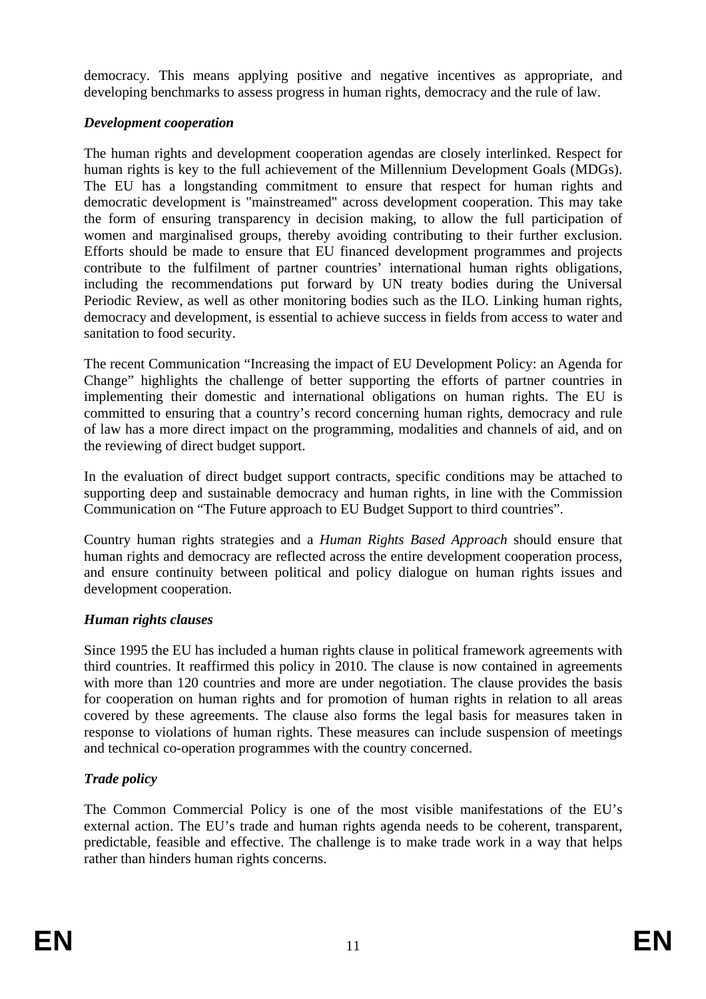democracy. This means applying positive and negative incentives as appropriate, and developing benchmarks to assess progress in human rights, democracy and the rule of law.

### *Development cooperation*

The human rights and development cooperation agendas are closely interlinked. Respect for human rights is key to the full achievement of the Millennium Development Goals (MDGs). The EU has a longstanding commitment to ensure that respect for human rights and democratic development is "mainstreamed" across development cooperation. This may take the form of ensuring transparency in decision making, to allow the full participation of women and marginalised groups, thereby avoiding contributing to their further exclusion. Efforts should be made to ensure that EU financed development programmes and projects contribute to the fulfilment of partner countries' international human rights obligations, including the recommendations put forward by UN treaty bodies during the Universal Periodic Review, as well as other monitoring bodies such as the ILO. Linking human rights, democracy and development, is essential to achieve success in fields from access to water and sanitation to food security.

The recent Communication "Increasing the impact of EU Development Policy: an Agenda for Change" highlights the challenge of better supporting the efforts of partner countries in implementing their domestic and international obligations on human rights. The EU is committed to ensuring that a country's record concerning human rights, democracy and rule of law has a more direct impact on the programming, modalities and channels of aid, and on the reviewing of direct budget support.

In the evaluation of direct budget support contracts, specific conditions may be attached to supporting deep and sustainable democracy and human rights, in line with the Commission Communication on "The Future approach to EU Budget Support to third countries".

Country human rights strategies and a *Human Rights Based Approach* should ensure that human rights and democracy are reflected across the entire development cooperation process, and ensure continuity between political and policy dialogue on human rights issues and development cooperation.

# *Human rights clauses*

Since 1995 the EU has included a human rights clause in political framework agreements with third countries. It reaffirmed this policy in 2010. The clause is now contained in agreements with more than 120 countries and more are under negotiation. The clause provides the basis for cooperation on human rights and for promotion of human rights in relation to all areas covered by these agreements. The clause also forms the legal basis for measures taken in response to violations of human rights. These measures can include suspension of meetings and technical co-operation programmes with the country concerned.

# *Trade policy*

The Common Commercial Policy is one of the most visible manifestations of the EU's external action. The EU's trade and human rights agenda needs to be coherent, transparent, predictable, feasible and effective. The challenge is to make trade work in a way that helps rather than hinders human rights concerns.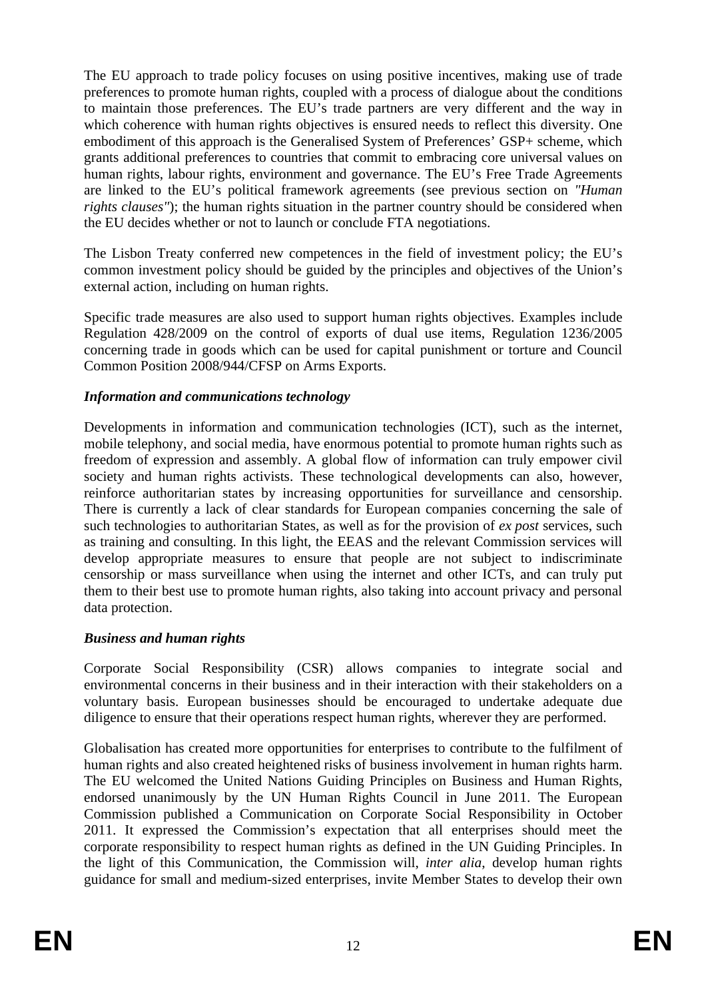The EU approach to trade policy focuses on using positive incentives, making use of trade preferences to promote human rights, coupled with a process of dialogue about the conditions to maintain those preferences. The EU's trade partners are very different and the way in which coherence with human rights objectives is ensured needs to reflect this diversity. One embodiment of this approach is the Generalised System of Preferences' GSP+ scheme, which grants additional preferences to countries that commit to embracing core universal values on human rights, labour rights, environment and governance. The EU's Free Trade Agreements are linked to the EU's political framework agreements (see previous section on *"Human rights clauses"*); the human rights situation in the partner country should be considered when the EU decides whether or not to launch or conclude FTA negotiations.

The Lisbon Treaty conferred new competences in the field of investment policy; the EU's common investment policy should be guided by the principles and objectives of the Union's external action, including on human rights.

Specific trade measures are also used to support human rights objectives. Examples include Regulation 428/2009 on the control of exports of dual use items, Regulation 1236/2005 concerning trade in goods which can be used for capital punishment or torture and Council Common Position 2008/944/CFSP on Arms Exports.

#### *Information and communications technology*

Developments in information and communication technologies (ICT), such as the internet, mobile telephony, and social media, have enormous potential to promote human rights such as freedom of expression and assembly. A global flow of information can truly empower civil society and human rights activists. These technological developments can also, however, reinforce authoritarian states by increasing opportunities for surveillance and censorship. There is currently a lack of clear standards for European companies concerning the sale of such technologies to authoritarian States, as well as for the provision of *ex post* services, such as training and consulting. In this light, the EEAS and the relevant Commission services will develop appropriate measures to ensure that people are not subject to indiscriminate censorship or mass surveillance when using the internet and other ICTs, and can truly put them to their best use to promote human rights, also taking into account privacy and personal data protection.

#### *Business and human rights*

Corporate Social Responsibility (CSR) allows companies to integrate social and environmental concerns in their business and in their interaction with their stakeholders on a voluntary basis. European businesses should be encouraged to undertake adequate due diligence to ensure that their operations respect human rights, wherever they are performed.

Globalisation has created more opportunities for enterprises to contribute to the fulfilment of human rights and also created heightened risks of business involvement in human rights harm. The EU welcomed the United Nations Guiding Principles on Business and Human Rights, endorsed unanimously by the UN Human Rights Council in June 2011. The European Commission published a Communication on Corporate Social Responsibility in October 2011. It expressed the Commission's expectation that all enterprises should meet the corporate responsibility to respect human rights as defined in the UN Guiding Principles. In the light of this Communication, the Commission will, *inter alia*, develop human rights guidance for small and medium-sized enterprises, invite Member States to develop their own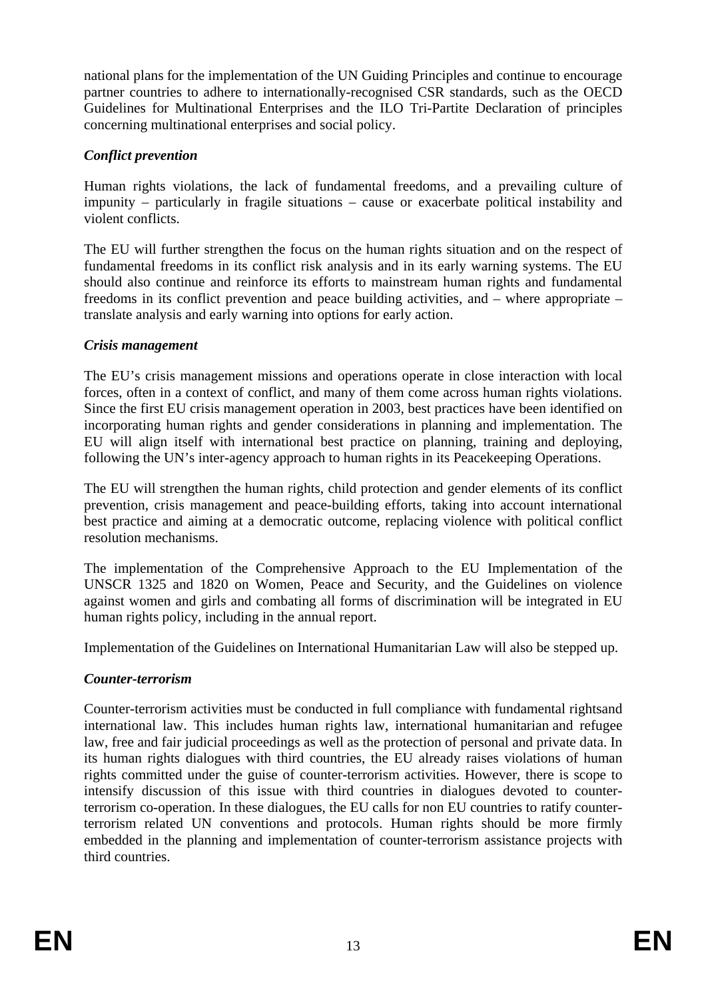national plans for the implementation of the UN Guiding Principles and continue to encourage partner countries to adhere to internationally-recognised CSR standards, such as the OECD Guidelines for Multinational Enterprises and the ILO Tri-Partite Declaration of principles concerning multinational enterprises and social policy.

#### *Conflict prevention*

Human rights violations, the lack of fundamental freedoms, and a prevailing culture of impunity – particularly in fragile situations – cause or exacerbate political instability and violent conflicts.

The EU will further strengthen the focus on the human rights situation and on the respect of fundamental freedoms in its conflict risk analysis and in its early warning systems. The EU should also continue and reinforce its efforts to mainstream human rights and fundamental freedoms in its conflict prevention and peace building activities, and – where appropriate – translate analysis and early warning into options for early action.

# *Crisis management*

The EU's crisis management missions and operations operate in close interaction with local forces, often in a context of conflict, and many of them come across human rights violations. Since the first EU crisis management operation in 2003, best practices have been identified on incorporating human rights and gender considerations in planning and implementation. The EU will align itself with international best practice on planning, training and deploying, following the UN's inter-agency approach to human rights in its Peacekeeping Operations.

The EU will strengthen the human rights, child protection and gender elements of its conflict prevention, crisis management and peace-building efforts, taking into account international best practice and aiming at a democratic outcome, replacing violence with political conflict resolution mechanisms.

The implementation of the Comprehensive Approach to the EU Implementation of the UNSCR 1325 and 1820 on Women, Peace and Security, and the Guidelines on violence against women and girls and combating all forms of discrimination will be integrated in EU human rights policy, including in the annual report.

Implementation of the Guidelines on International Humanitarian Law will also be stepped up.

# *Counter-terrorism*

Counter-terrorism activities must be conducted in full compliance with fundamental rightsand international law. This includes human rights law, international humanitarian and refugee law, free and fair judicial proceedings as well as the protection of personal and private data. In its human rights dialogues with third countries, the EU already raises violations of human rights committed under the guise of counter-terrorism activities. However, there is scope to intensify discussion of this issue with third countries in dialogues devoted to counterterrorism co-operation. In these dialogues, the EU calls for non EU countries to ratify counterterrorism related UN conventions and protocols. Human rights should be more firmly embedded in the planning and implementation of counter-terrorism assistance projects with third countries.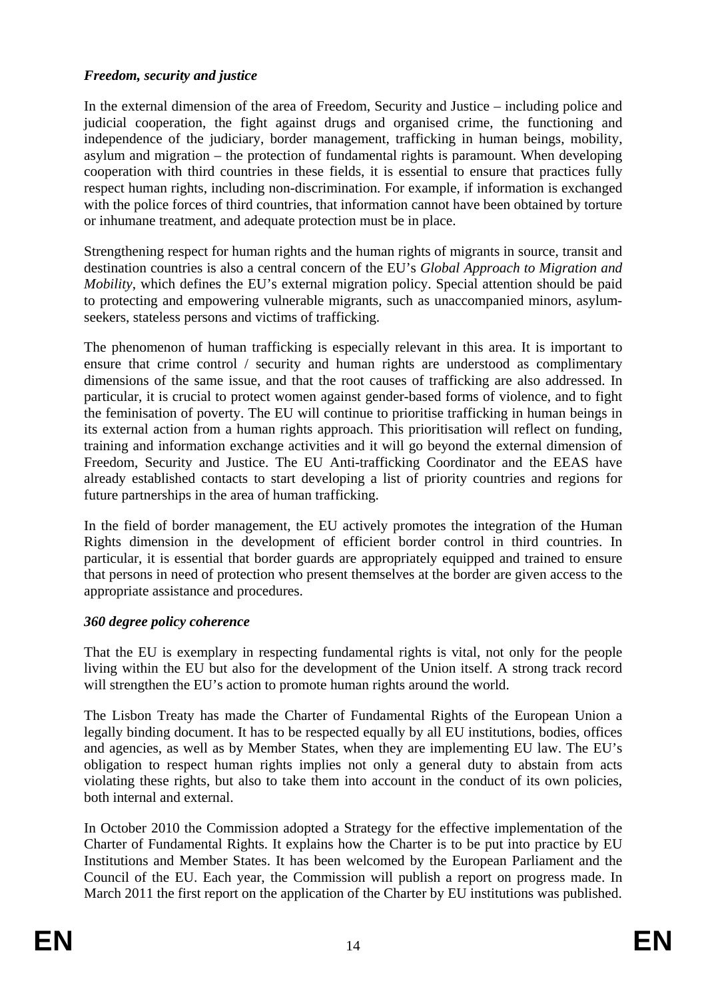#### *Freedom, security and justice*

In the external dimension of the area of Freedom, Security and Justice – including police and judicial cooperation, the fight against drugs and organised crime, the functioning and independence of the judiciary, border management, trafficking in human beings, mobility, asylum and migration – the protection of fundamental rights is paramount. When developing cooperation with third countries in these fields, it is essential to ensure that practices fully respect human rights, including non-discrimination. For example, if information is exchanged with the police forces of third countries, that information cannot have been obtained by torture or inhumane treatment, and adequate protection must be in place.

Strengthening respect for human rights and the human rights of migrants in source, transit and destination countries is also a central concern of the EU's *Global Approach to Migration and Mobility*, which defines the EU's external migration policy. Special attention should be paid to protecting and empowering vulnerable migrants, such as unaccompanied minors, asylumseekers, stateless persons and victims of trafficking.

The phenomenon of human trafficking is especially relevant in this area. It is important to ensure that crime control / security and human rights are understood as complimentary dimensions of the same issue, and that the root causes of trafficking are also addressed. In particular, it is crucial to protect women against gender-based forms of violence, and to fight the feminisation of poverty. The EU will continue to prioritise trafficking in human beings in its external action from a human rights approach. This prioritisation will reflect on funding, training and information exchange activities and it will go beyond the external dimension of Freedom, Security and Justice. The EU Anti-trafficking Coordinator and the EEAS have already established contacts to start developing a list of priority countries and regions for future partnerships in the area of human trafficking.

In the field of border management, the EU actively promotes the integration of the Human Rights dimension in the development of efficient border control in third countries. In particular, it is essential that border guards are appropriately equipped and trained to ensure that persons in need of protection who present themselves at the border are given access to the appropriate assistance and procedures.

#### *360 degree policy coherence*

That the EU is exemplary in respecting fundamental rights is vital, not only for the people living within the EU but also for the development of the Union itself. A strong track record will strengthen the EU's action to promote human rights around the world.

The Lisbon Treaty has made the Charter of Fundamental Rights of the European Union a legally binding document. It has to be respected equally by all EU institutions, bodies, offices and agencies, as well as by Member States, when they are implementing EU law. The EU's obligation to respect human rights implies not only a general duty to abstain from acts violating these rights, but also to take them into account in the conduct of its own policies, both internal and external.

In October 2010 the Commission adopted a Strategy for the effective implementation of the Charter of Fundamental Rights. It explains how the Charter is to be put into practice by EU Institutions and Member States. It has been welcomed by the European Parliament and the Council of the EU. Each year, the Commission will publish a report on progress made. In March 2011 the first report on the application of the Charter by EU institutions was published.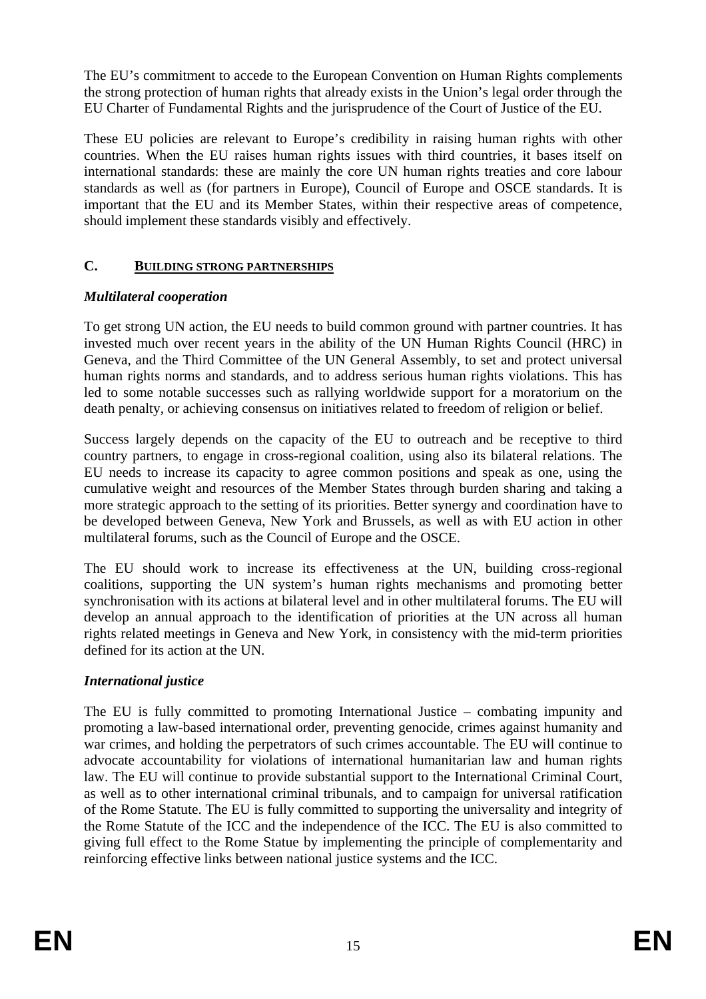The EU's commitment to accede to the European Convention on Human Rights complements the strong protection of human rights that already exists in the Union's legal order through the EU Charter of Fundamental Rights and the jurisprudence of the Court of Justice of the EU.

These EU policies are relevant to Europe's credibility in raising human rights with other countries. When the EU raises human rights issues with third countries, it bases itself on international standards: these are mainly the core UN human rights treaties and core labour standards as well as (for partners in Europe), Council of Europe and OSCE standards. It is important that the EU and its Member States, within their respective areas of competence, should implement these standards visibly and effectively.

# **C. BUILDING STRONG PARTNERSHIPS**

# *Multilateral cooperation*

To get strong UN action, the EU needs to build common ground with partner countries. It has invested much over recent years in the ability of the UN Human Rights Council (HRC) in Geneva, and the Third Committee of the UN General Assembly, to set and protect universal human rights norms and standards, and to address serious human rights violations. This has led to some notable successes such as rallying worldwide support for a moratorium on the death penalty, or achieving consensus on initiatives related to freedom of religion or belief.

Success largely depends on the capacity of the EU to outreach and be receptive to third country partners, to engage in cross-regional coalition, using also its bilateral relations. The EU needs to increase its capacity to agree common positions and speak as one, using the cumulative weight and resources of the Member States through burden sharing and taking a more strategic approach to the setting of its priorities. Better synergy and coordination have to be developed between Geneva, New York and Brussels, as well as with EU action in other multilateral forums, such as the Council of Europe and the OSCE.

The EU should work to increase its effectiveness at the UN, building cross-regional coalitions, supporting the UN system's human rights mechanisms and promoting better synchronisation with its actions at bilateral level and in other multilateral forums. The EU will develop an annual approach to the identification of priorities at the UN across all human rights related meetings in Geneva and New York, in consistency with the mid-term priorities defined for its action at the UN.

# *International justice*

The EU is fully committed to promoting International Justice – combating impunity and promoting a law-based international order, preventing genocide, crimes against humanity and war crimes, and holding the perpetrators of such crimes accountable. The EU will continue to advocate accountability for violations of international humanitarian law and human rights law. The EU will continue to provide substantial support to the International Criminal Court, as well as to other international criminal tribunals, and to campaign for universal ratification of the Rome Statute. The EU is fully committed to supporting the universality and integrity of the Rome Statute of the ICC and the independence of the ICC. The EU is also committed to giving full effect to the Rome Statue by implementing the principle of complementarity and reinforcing effective links between national justice systems and the ICC.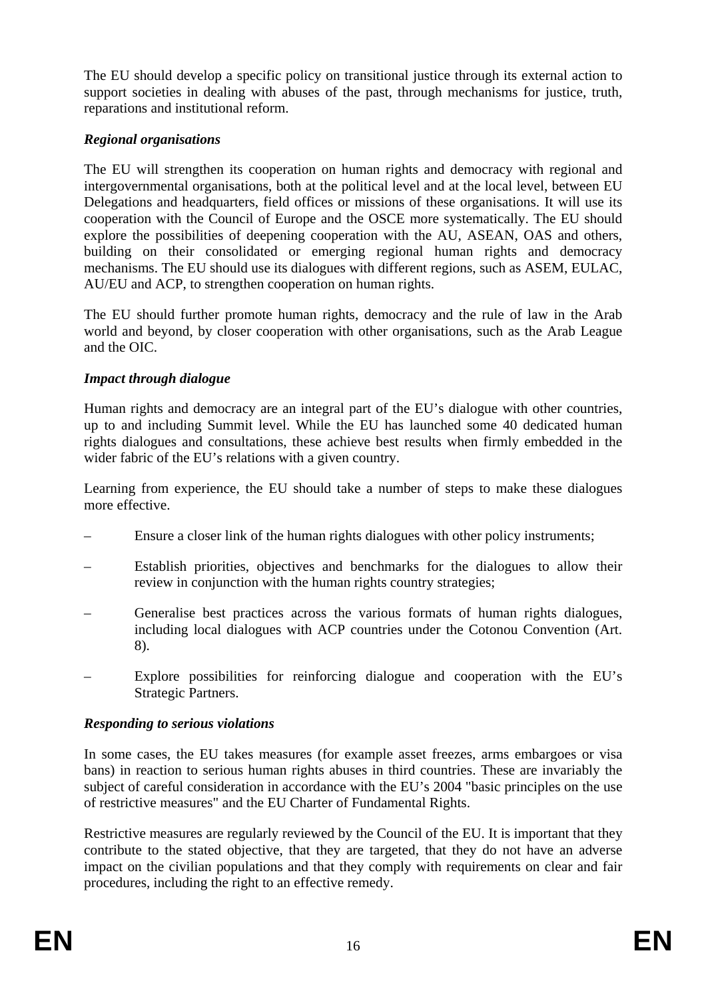The EU should develop a specific policy on transitional justice through its external action to support societies in dealing with abuses of the past, through mechanisms for justice, truth, reparations and institutional reform.

# *Regional organisations*

The EU will strengthen its cooperation on human rights and democracy with regional and intergovernmental organisations, both at the political level and at the local level, between EU Delegations and headquarters, field offices or missions of these organisations. It will use its cooperation with the Council of Europe and the OSCE more systematically. The EU should explore the possibilities of deepening cooperation with the AU, ASEAN, OAS and others, building on their consolidated or emerging regional human rights and democracy mechanisms. The EU should use its dialogues with different regions, such as ASEM, EULAC, AU/EU and ACP, to strengthen cooperation on human rights.

The EU should further promote human rights, democracy and the rule of law in the Arab world and beyond, by closer cooperation with other organisations, such as the Arab League and the OIC.

# *Impact through dialogue*

Human rights and democracy are an integral part of the EU's dialogue with other countries, up to and including Summit level. While the EU has launched some 40 dedicated human rights dialogues and consultations, these achieve best results when firmly embedded in the wider fabric of the EU's relations with a given country.

Learning from experience, the EU should take a number of steps to make these dialogues more effective.

- Ensure a closer link of the human rights dialogues with other policy instruments;
- Establish priorities, objectives and benchmarks for the dialogues to allow their review in conjunction with the human rights country strategies;
- Generalise best practices across the various formats of human rights dialogues, including local dialogues with ACP countries under the Cotonou Convention (Art. 8).
- Explore possibilities for reinforcing dialogue and cooperation with the EU's Strategic Partners.

# *Responding to serious violations*

In some cases, the EU takes measures (for example asset freezes, arms embargoes or visa bans) in reaction to serious human rights abuses in third countries. These are invariably the subject of careful consideration in accordance with the EU's 2004 "basic principles on the use of restrictive measures" and the EU Charter of Fundamental Rights.

Restrictive measures are regularly reviewed by the Council of the EU. It is important that they contribute to the stated objective, that they are targeted, that they do not have an adverse impact on the civilian populations and that they comply with requirements on clear and fair procedures, including the right to an effective remedy.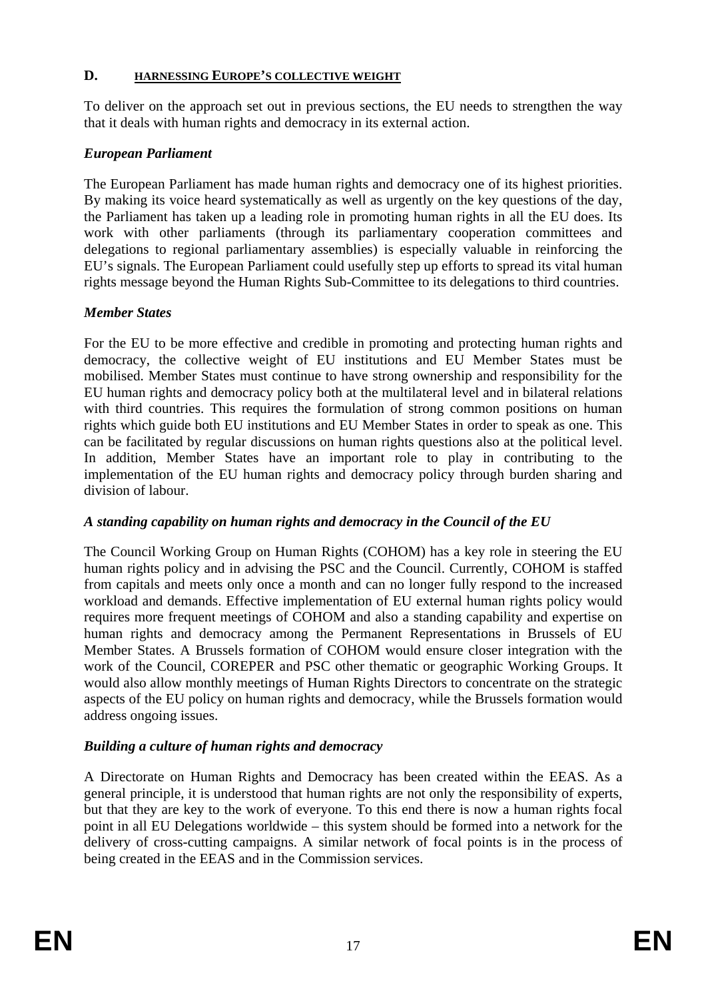#### **D. HARNESSING EUROPE'S COLLECTIVE WEIGHT**

To deliver on the approach set out in previous sections, the EU needs to strengthen the way that it deals with human rights and democracy in its external action.

#### *European Parliament*

The European Parliament has made human rights and democracy one of its highest priorities. By making its voice heard systematically as well as urgently on the key questions of the day, the Parliament has taken up a leading role in promoting human rights in all the EU does. Its work with other parliaments (through its parliamentary cooperation committees and delegations to regional parliamentary assemblies) is especially valuable in reinforcing the EU's signals. The European Parliament could usefully step up efforts to spread its vital human rights message beyond the Human Rights Sub-Committee to its delegations to third countries.

#### *Member States*

For the EU to be more effective and credible in promoting and protecting human rights and democracy, the collective weight of EU institutions and EU Member States must be mobilised. Member States must continue to have strong ownership and responsibility for the EU human rights and democracy policy both at the multilateral level and in bilateral relations with third countries. This requires the formulation of strong common positions on human rights which guide both EU institutions and EU Member States in order to speak as one. This can be facilitated by regular discussions on human rights questions also at the political level. In addition, Member States have an important role to play in contributing to the implementation of the EU human rights and democracy policy through burden sharing and division of labour.

#### *A standing capability on human rights and democracy in the Council of the EU*

The Council Working Group on Human Rights (COHOM) has a key role in steering the EU human rights policy and in advising the PSC and the Council. Currently, COHOM is staffed from capitals and meets only once a month and can no longer fully respond to the increased workload and demands. Effective implementation of EU external human rights policy would requires more frequent meetings of COHOM and also a standing capability and expertise on human rights and democracy among the Permanent Representations in Brussels of EU Member States. A Brussels formation of COHOM would ensure closer integration with the work of the Council, COREPER and PSC other thematic or geographic Working Groups. It would also allow monthly meetings of Human Rights Directors to concentrate on the strategic aspects of the EU policy on human rights and democracy, while the Brussels formation would address ongoing issues.

#### *Building a culture of human rights and democracy*

A Directorate on Human Rights and Democracy has been created within the EEAS. As a general principle, it is understood that human rights are not only the responsibility of experts, but that they are key to the work of everyone. To this end there is now a human rights focal point in all EU Delegations worldwide – this system should be formed into a network for the delivery of cross-cutting campaigns. A similar network of focal points is in the process of being created in the EEAS and in the Commission services.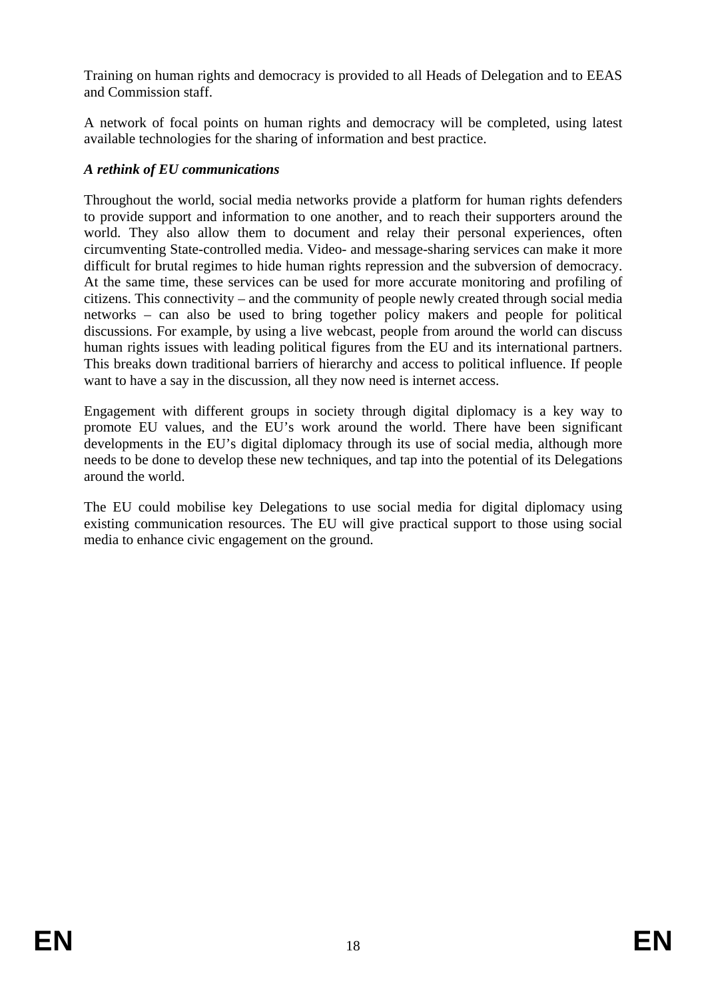Training on human rights and democracy is provided to all Heads of Delegation and to EEAS and Commission staff.

A network of focal points on human rights and democracy will be completed, using latest available technologies for the sharing of information and best practice.

### *A rethink of EU communications*

Throughout the world, social media networks provide a platform for human rights defenders to provide support and information to one another, and to reach their supporters around the world. They also allow them to document and relay their personal experiences, often circumventing State-controlled media. Video- and message-sharing services can make it more difficult for brutal regimes to hide human rights repression and the subversion of democracy. At the same time, these services can be used for more accurate monitoring and profiling of citizens. This connectivity – and the community of people newly created through social media networks – can also be used to bring together policy makers and people for political discussions. For example, by using a live webcast, people from around the world can discuss human rights issues with leading political figures from the EU and its international partners. This breaks down traditional barriers of hierarchy and access to political influence. If people want to have a say in the discussion, all they now need is internet access.

Engagement with different groups in society through digital diplomacy is a key way to promote EU values, and the EU's work around the world. There have been significant developments in the EU's digital diplomacy through its use of social media, although more needs to be done to develop these new techniques, and tap into the potential of its Delegations around the world.

The EU could mobilise key Delegations to use social media for digital diplomacy using existing communication resources. The EU will give practical support to those using social media to enhance civic engagement on the ground.